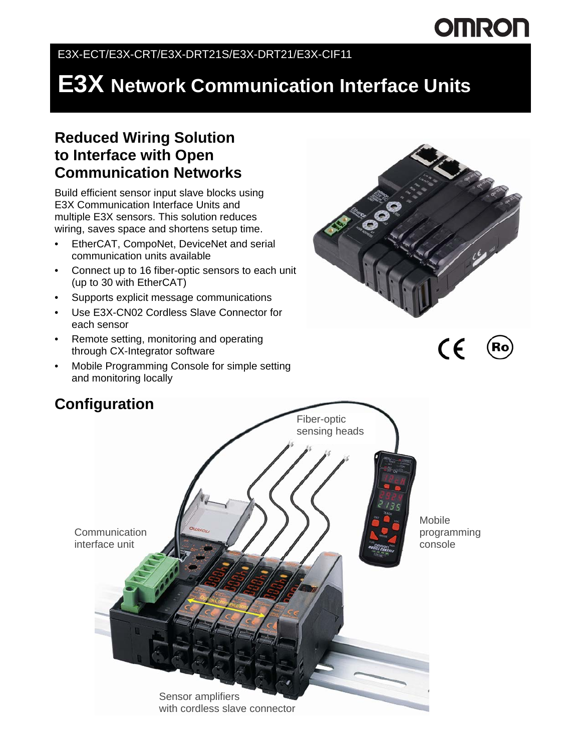# **OMRON**

#### E3X-ECT/E3X-CRT/E3X-DRT21S/E3X-DRT21/E3X-CIF11

## **E3X Network Communication Interface Units**

#### **Reduced Wiring Solution to Interface with Open Communication Networks**

Build efficient sensor input slave blocks using E3X Communication Interface Units and multiple E3X sensors. This solution reduces wiring, saves space and shortens setup time.

- EtherCAT, CompoNet, DeviceNet and serial communication units available
- Connect up to 16 fiber-optic sensors to each unit (up to 30 with EtherCAT)
- Supports explicit message communications
- Use E3X-CN02 Cordless Slave Connector for each sensor
- Remote setting, monitoring and operating through CX-Integrator software
- Mobile Programming Console for simple setting and monitoring locally





# **Communication** interface unit Fiber-optic sensing heads Mobile programming console Sensor amplifiers with cordless slave connector

#### **Configuration**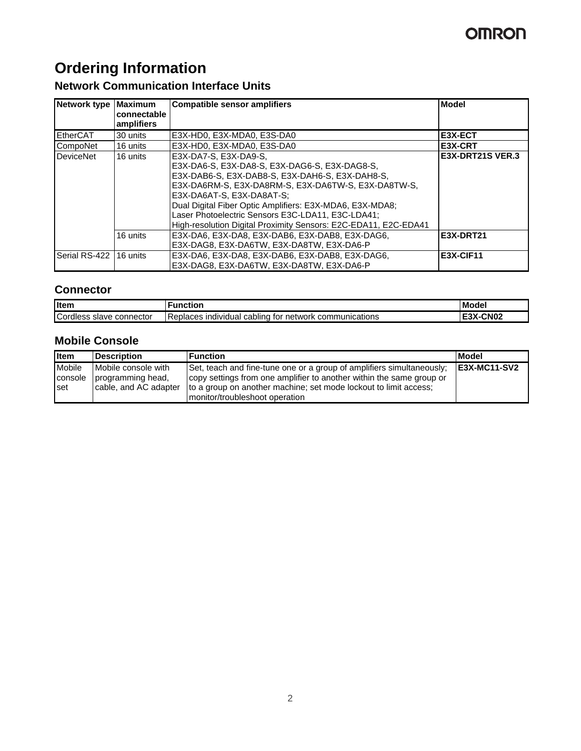## **OMRON**

## **Ordering Information**

#### **Network Communication Interface Units**

| Network type   Maximum  | connectable<br>amplifiers | <b>Compatible sensor amplifiers</b>                                                                                                                                                                                                                                                                                                                                                               | <b>Model</b>     |
|-------------------------|---------------------------|---------------------------------------------------------------------------------------------------------------------------------------------------------------------------------------------------------------------------------------------------------------------------------------------------------------------------------------------------------------------------------------------------|------------------|
| EtherCAT                | 30 units                  | E3X-HD0, E3X-MDA0, E3S-DA0                                                                                                                                                                                                                                                                                                                                                                        | E3X-ECT          |
| CompoNet                | 16 units                  | E3X-HD0, E3X-MDA0, E3S-DA0                                                                                                                                                                                                                                                                                                                                                                        | E3X-CRT          |
| <b>DeviceNet</b>        | 16 units                  | E3X-DA7-S, E3X-DA9-S,<br>E3X-DA6-S, E3X-DA8-S, E3X-DAG6-S, E3X-DAG8-S,<br>E3X-DAB6-S, E3X-DAB8-S, E3X-DAH6-S, E3X-DAH8-S,<br>E3X-DA6RM-S, E3X-DA8RM-S, E3X-DA6TW-S, E3X-DA8TW-S,<br>E3X-DA6AT-S. E3X-DA8AT-S:<br>Dual Digital Fiber Optic Amplifiers: E3X-MDA6, E3X-MDA8;<br>Laser Photoelectric Sensors E3C-LDA11, E3C-LDA41;<br>High-resolution Digital Proximity Sensors: E2C-EDA11, E2C-EDA41 | E3X-DRT21S VER.3 |
|                         | 16 units                  | E3X-DA6, E3X-DA8, E3X-DAB6, E3X-DAB8, E3X-DAG6,<br>E3X-DAG8, E3X-DA6TW, E3X-DA8TW, E3X-DA6-P                                                                                                                                                                                                                                                                                                      | <b>E3X-DRT21</b> |
| Serial RS-422 116 units |                           | E3X-DA6, E3X-DA8, E3X-DAB6, E3X-DAB8, E3X-DAG6,<br>E3X-DAG8, E3X-DA6TW, E3X-DA8TW, E3X-DA6-P                                                                                                                                                                                                                                                                                                      | E3X-CIF11        |

#### **Connector**

| <b>I</b> Iten                         | <b>unctior</b>                                                          | Model             |
|---------------------------------------|-------------------------------------------------------------------------|-------------------|
| Cordl<br>connector<br>dless'<br>slave | Replaces<br>communications<br>cabling<br>network<br>tor<br>individual i | <b>CN02</b><br>ື້ |

#### **Mobile Console**

| <b>I</b> tem                             | Description                                                       | l Function                                                                                                                                                                                                        | <b>Model</b>        |
|------------------------------------------|-------------------------------------------------------------------|-------------------------------------------------------------------------------------------------------------------------------------------------------------------------------------------------------------------|---------------------|
| <b>Mobile</b><br>console<br><b>I</b> set | Mobile console with<br>programming head,<br>cable, and AC adapter | Set, teach and fine-tune one or a group of amplifiers simultaneously;<br>copy settings from one amplifier to another within the same group or<br>to a group on another machine; set mode lockout to limit access; | <b>E3X-MC11-SV2</b> |
|                                          |                                                                   | monitor/troubleshoot operation                                                                                                                                                                                    |                     |